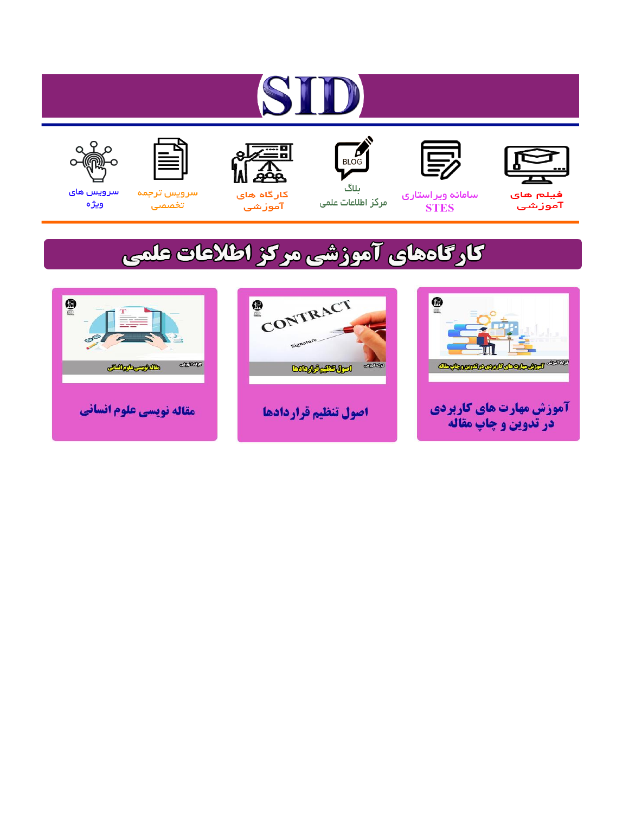# ST









#### سامائه ويراستاري **STES**



ىلاگ مرکز اطلاعات علمی



ققق کارگاه های

آموزشي

空



تخصصى

سرویس های ويژه

### كارگاههای آموزشی مركز اطلاعات علمی





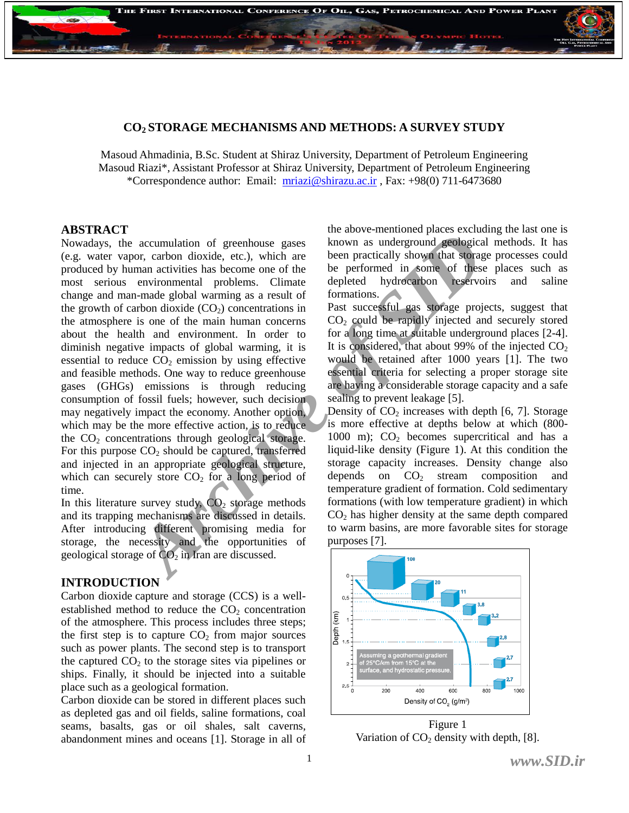

#### **CO2 STORAGE MECHANISMS AND METHODS: A SURVEY STUDY**

Masoud Ahmadinia, B.Sc. Student at Shiraz University, Department of Petroleum Engineering Masoud Riazi\*, Assistant Professor at Shiraz University, Department of Petroleum Engineering \*Correspondence author: Email: [mriazi@shirazu.ac.ir](mailto:mriazi@shirazu.ac.ir) , Fax: +98(0) 711-6473680

#### **ABSTRACT**

accumulation of greenhouse gases<br> **Archive and the action** and the such and the stack of the same and triving and triving and triving and triving the performal archive is a become one of the performal of some or in the se Nowadays, the accumulation of greenhouse gases (e.g. water vapor, carbon dioxide, etc.), which are produced by human activities has become one of the most serious environmental problems. Climate change and man-made global warming as a result of the growth of carbon dioxide  $(CO_2)$  concentrations in the atmosphere is one of the main human concerns about the health and environment. In order to diminish negative impacts of global warming, it is essential to reduce  $CO<sub>2</sub>$  emission by using effective and feasible methods. One way to reduce greenhouse gases (GHGs) emissions is through reducing consumption of fossil fuels; however, such decision may negatively impact the economy. Another option, which may be the more effective action, is to reduce the  $CO<sub>2</sub>$  concentrations through geological storage. For this purpose  $CO<sub>2</sub>$  should be captured, transferred and injected in an appropriate geological structure, which can securely store  $CO<sub>2</sub>$  for a long period of time.

In this literature survey study,  $CO<sub>2</sub>$  storage methods and its trapping mechanisms are discussed in details. After introducing different promising media for storage, the necessity and the opportunities of geological storage of  $CO<sub>2</sub>$  in Iran are discussed.

#### **INTRODUCTION**

Carbon dioxide capture and storage (CCS) is a wellestablished method to reduce the  $CO<sub>2</sub>$  concentration of the atmosphere. This process includes three steps; the first step is to capture  $CO<sub>2</sub>$  from major sources such as power plants. The second step is to transport the captured  $CO<sub>2</sub>$  to the storage sites via pipelines or ships. Finally, it should be injected into a suitable place such as a geological formation.

Carbon dioxide can be stored in different places such as depleted gas and oil fields, saline formations, coal seams, basalts, gas or oil shales, salt caverns, abandonment mines and oceans [1]. Storage in all of the above-mentioned places excluding the last one is known as underground geological methods. It has been practically shown that storage processes could be performed in some of these places such as depleted hydrocarbon reservoirs and saline formations.

Past successful gas storage projects, suggest that CO<sup>2</sup> could be rapidly injected and securely stored for a long time at suitable underground places [2-4]. It is considered, that about 99% of the injected  $CO<sub>2</sub>$ would be retained after 1000 years [1]. The two essential criteria for selecting a proper storage site are having a considerable storage capacity and a safe sealing to prevent leakage [5].

Density of  $CO<sub>2</sub>$  increases with depth [6, 7]. Storage is more effective at depths below at which (800- 1000 m);  $CO<sub>2</sub>$  becomes supercritical and has a liquid-like density (Figure 1). At this condition the storage capacity increases. Density change also depends on  $CO<sub>2</sub>$  stream composition and temperature gradient of formation. Cold sedimentary formations (with low temperature gradient) in which  $CO<sub>2</sub>$  has higher density at the same depth compared to warm basins, are more favorable sites for storage purposes [7].



Figure 1 Variation of  $CO<sub>2</sub>$  density with depth, [8].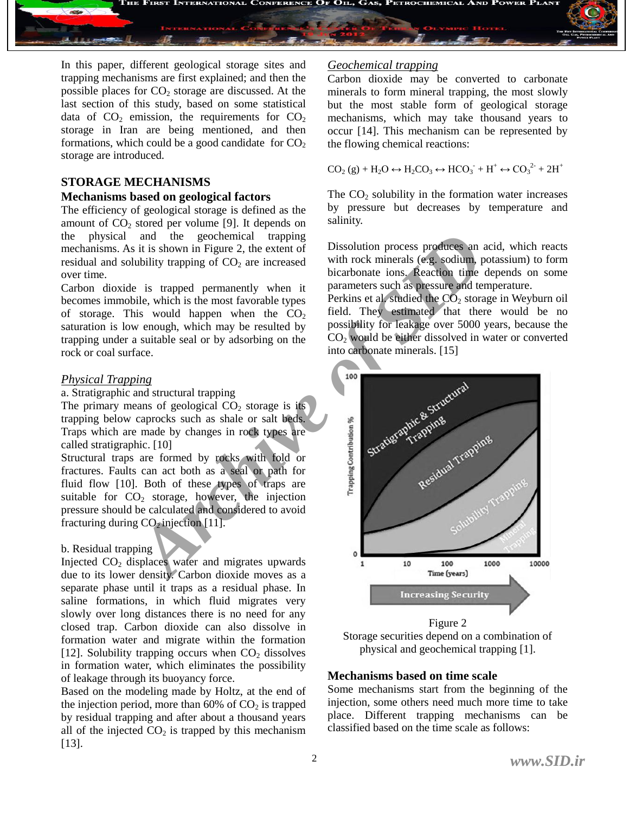

In this paper, different geological storage sites and trapping mechanisms are first explained; and then the possible places for  $CO<sub>2</sub>$  storage are discussed. At the last section of this study, based on some statistical data of  $CO<sub>2</sub>$  emission, the requirements for  $CO<sub>2</sub>$ storage in Iran are being mentioned, and then formations, which could be a good candidate for  $CO<sub>2</sub>$ storage are introduced.

#### **STORAGE MECHANISMS**

#### **Mechanisms based on geological factors**

The efficiency of geological storage is defined as the amount of  $CO<sub>2</sub>$  stored per volume [9]. It depends on the physical and the geochemical trapping mechanisms. As it is shown in Figure 2, the extent of residual and solubility trapping of  $CO<sub>2</sub>$  are increased over time.

Carbon dioxide is trapped permanently when it becomes immobile, which is the most favorable types of storage. This would happen when the  $CO<sub>2</sub>$ saturation is low enough, which may be resulted by trapping under a suitable seal or by adsorbing on the rock or coal surface.

#### *Physical Trapping*

a. Stratigraphic and structural trapping

The primary means of geological  $CO<sub>2</sub>$  storage is its trapping below caprocks such as shale or salt beds. Traps which are made by changes in rock types are called stratigraphic. [10]

Structural traps are formed by rocks with fold or fractures. Faults can act both as a seal or path for fluid flow [10]. Both of these types of traps are suitable for  $CO<sub>2</sub>$  storage, however, the injection pressure should be calculated and considered to avoid fracturing during  $CO<sub>2</sub>$  injection [11].

#### b. Residual trapping

Injected  $CO<sub>2</sub>$  displaces water and migrates upwards due to its lower density. Carbon dioxide moves as a separate phase until it traps as a residual phase. In saline formations, in which fluid migrates very slowly over long distances there is no need for any closed trap. Carbon dioxide can also dissolve in formation water and migrate within the formation [12]. Solubility trapping occurs when  $CO<sub>2</sub>$  dissolves in formation water, which eliminates the possibility of leakage through its buoyancy force.

Based on the modeling made by Holtz, at the end of the injection period, more than  $60\%$  of  $CO<sub>2</sub>$  is trapped by residual trapping and after about a thousand years all of the injected  $CO<sub>2</sub>$  is trapped by this mechanism [13].

#### *Geochemical trapping*

Carbon dioxide may be converted to carbonate minerals to form mineral trapping, the most slowly but the most stable form of geological storage mechanisms, which may take thousand years to occur [14]. This mechanism can be represented by the flowing chemical reactions:

 $CO<sub>2</sub>(g) + H<sub>2</sub>O \leftrightarrow H<sub>2</sub>CO<sub>3</sub> \leftrightarrow HCO<sub>3</sub><sup>-</sup> + H<sup>+</sup> \leftrightarrow CO<sub>3</sub><sup>2</sup> + 2H<sup>+</sup>$ 

The  $CO<sub>2</sub>$  solubility in the formation water increases by pressure but decreases by temperature and salinity.

Dissolution process produces an acid, which reacts with rock minerals (e.g. sodium, potassium) to form bicarbonate ions. Reaction time depends on some parameters such as pressure and temperature.

Perkins et al. studied the  $CO<sub>2</sub>$  storage in Weyburn oil field. They estimated that there would be no possibility for leakage over 5000 years, because the  $CO<sub>2</sub>$  would be either dissolved in water or converted into carbonate minerals. [15]



Figure 2 Storage securities depend on a combination of physical and geochemical trapping [1].

#### **Mechanisms based on time scale**

Some mechanisms start from the beginning of the injection, some others need much more time to take place. Different trapping mechanisms can be classified based on the time scale as follows: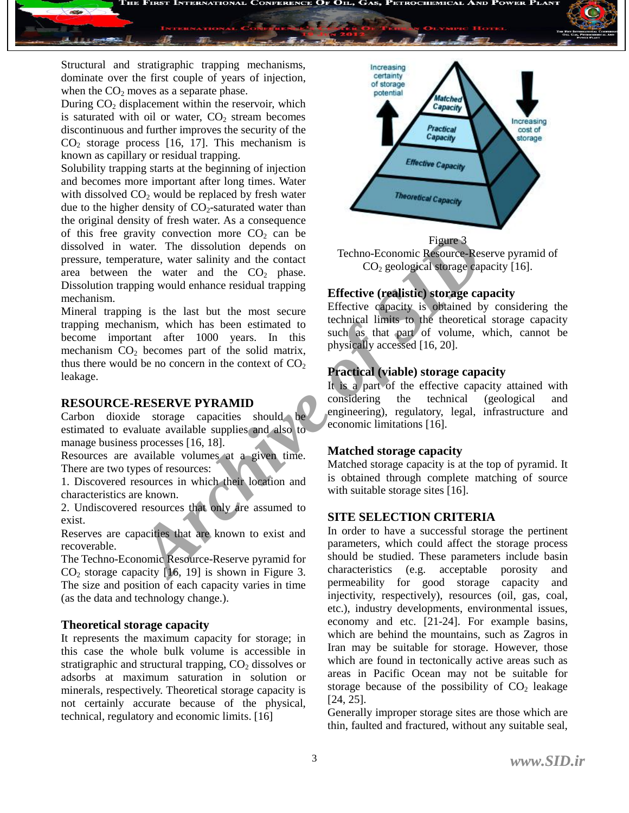

Structural and stratigraphic trapping mechanisms, dominate over the first couple of years of injection, when the  $CO<sub>2</sub>$  moves as a separate phase.

During  $CO<sub>2</sub>$  displacement within the reservoir, which is saturated with oil or water,  $CO<sub>2</sub>$  stream becomes discontinuous and further improves the security of the  $CO<sub>2</sub>$  storage process [16, 17]. This mechanism is known as capillary or residual trapping.

Solubility trapping starts at the beginning of injection and becomes more important after long times. Water with dissolved  $CO<sub>2</sub>$  would be replaced by fresh water due to the higher density of  $CO<sub>2</sub>$ -saturated water than the original density of fresh water. As a consequence of this free gravity convection more  $CO<sub>2</sub>$  can be dissolved in water. The dissolution depends on pressure, temperature, water salinity and the contact area between the water and the  $CO<sub>2</sub>$  phase. Dissolution trapping would enhance residual trapping mechanism.

xatter. The dissolution dependent and the control and the control of the same the same the same the same the same the same the same the same the same of the same the same of the same of the same the same the same of the so Mineral trapping is the last but the most secure trapping mechanism, which has been estimated to become important after 1000 years. In this mechanism  $CO<sub>2</sub>$  becomes part of the solid matrix, thus there would be no concern in the context of  $CO<sub>2</sub>$ leakage.

#### **RESOURCE-RESERVE PYRAMID**

Carbon dioxide storage capacities should estimated to evaluate available supplies and also to manage business processes [16, 18].

Resources are available volumes at a given time. There are two types of resources:

1. Discovered resources in which their location and characteristics are known.

2. Undiscovered resources that only are assumed to exist.

Reserves are capacities that are known to exist and recoverable.

The Techno-Economic Resource-Reserve pyramid for  $CO<sub>2</sub>$  storage capacity [16, 19] is shown in Figure 3. The size and position of each capacity varies in time (as the data and technology change.).

#### **Theoretical storage capacity**

It represents the maximum capacity for storage; in this case the whole bulk volume is accessible in stratigraphic and structural trapping,  $CO<sub>2</sub>$  dissolves or adsorbs at maximum saturation in solution or minerals, respectively. Theoretical storage capacity is not certainly accurate because of the physical, technical, regulatory and economic limits. [16]



Figure 3 Techno-Economic Resource-Reserve pyramid of  $CO<sub>2</sub>$  geological storage capacity [16].

#### **Effective (realistic) storage capacity**

Effective capacity is obtained by considering the technical limits to the theoretical storage capacity such as that part of volume, which, cannot be physically accessed [16, 20].

#### **Practical (viable) storage capacity**

It is a part of the effective capacity attained with considering the technical (geological and engineering), regulatory, legal, infrastructure and economic limitations [16].

#### **Matched storage capacity**

Matched storage capacity is at the top of pyramid. It is obtained through complete matching of source with suitable storage sites [16].

#### **SITE SELECTION CRITERIA**

In order to have a successful storage the pertinent parameters, which could affect the storage process should be studied. These parameters include basin characteristics (e.g. acceptable porosity and permeability for good storage capacity and injectivity, respectively), resources (oil, gas, coal, etc.), industry developments, environmental issues, economy and etc. [21-24]. For example basins, which are behind the mountains, such as Zagros in Iran may be suitable for storage. However, those which are found in tectonically active areas such as areas in Pacific Ocean may not be suitable for storage because of the possibility of  $CO<sub>2</sub>$  leakage [24, 25].

Generally improper storage sites are those which are thin, faulted and fractured, without any suitable seal,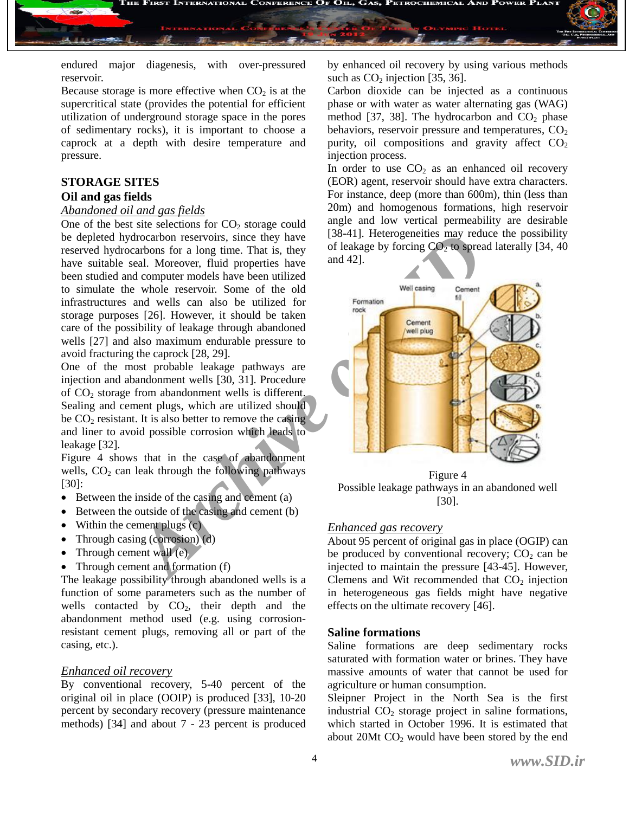

endured major diagenesis, with over-pressured reservoir.

Because storage is more effective when  $CO<sub>2</sub>$  is at the supercritical state (provides the potential for efficient utilization of underground storage space in the pores of sedimentary rocks), it is important to choose a caprock at a depth with desire temperature and pressure.

#### **STORAGE SITES Oil and gas fields**

### *Abandoned oil and gas fields*

One of the best site selections for  $CO<sub>2</sub>$  storage could be depleted hydrocarbon reservoirs, since they have reserved hydrocarbons for a long time. That is, they have suitable seal. Moreover, fluid properties have been studied and computer models have been utilized to simulate the whole reservoir. Some of the old infrastructures and wells can also be utilized for storage purposes [26]. However, it should be taken care of the possibility of leakage through abandoned wells [27] and also maximum endurable pressure to avoid fracturing the caprock [28, 29].

One of the most probable leakage pathways are injection and abandonment wells [30, 31]. Procedure of  $CO<sub>2</sub>$  storage from abandonment wells is different. Sealing and cement plugs, which are utilized should be  $CO<sub>2</sub>$  resistant. It is also better to remove the casing and liner to avoid possible corrosion which leads to leakage [32].

Figure 4 shows that in the case of abandonment wells,  $CO<sub>2</sub>$  can leak through the following pathways [30]:

- $\bullet$  Between the inside of the casing and cement (a)
- $\bullet$  Between the outside of the casing and cement (b)
- Within the cement plugs  $(c)$
- Through casing (corrosion) (d)
- Through cement wall  $(e)$
- Through cement and formation (f)

The leakage possibility through abandoned wells is a function of some parameters such as the number of wells contacted by  $CO<sub>2</sub>$ , their depth and the abandonment method used (e.g. using corrosionresistant cement plugs, removing all or part of the casing, etc.).

#### *Enhanced oil recovery*

By conventional recovery, 5-40 percent of the original oil in place (OOIP) is produced [33], 10-20 percent by secondary recovery (pressure maintenance methods) [34] and about 7 - 23 percent is produced by enhanced oil recovery by using various methods such as  $CO<sub>2</sub>$  injection [35, 36].

Carbon dioxide can be injected as a continuous phase or with water as water alternating gas (WAG) method [37, 38]. The hydrocarbon and  $CO<sub>2</sub>$  phase behaviors, reservoir pressure and temperatures,  $CO<sub>2</sub>$ purity, oil compositions and gravity affect  $CO<sub>2</sub>$ injection process.

In order to use  $CO<sub>2</sub>$  as an enhanced oil recovery (EOR) agent, reservoir should have extra characters. For instance, deep (more than 600m), thin (less than 20m) and homogenous formations, high reservoir angle and low vertical permeability are desirable [38-41]. Heterogeneities may reduce the possibility of leakage by forcing  $CO<sub>2</sub>$  to spread laterally [34, 40] and 42].



Figure 4 Possible leakage pathways in an abandoned well [30].

#### *Enhanced gas recovery*

About 95 percent of original gas in place (OGIP) can be produced by conventional recovery;  $CO<sub>2</sub>$  can be injected to maintain the pressure [43-45]. However, Clemens and Wit recommended that  $CO<sub>2</sub>$  injection in heterogeneous gas fields might have negative effects on the ultimate recovery [46].

#### **Saline formations**

Saline formations are deep sedimentary rocks saturated with formation water or brines. They have massive amounts of water that cannot be used for agriculture or human consumption.

Sleipner Project in the North Sea is the first industrial  $CO<sub>2</sub>$  storage project in saline formations, which started in October 1996. It is estimated that about  $20Mt CO<sub>2</sub>$  would have been stored by the end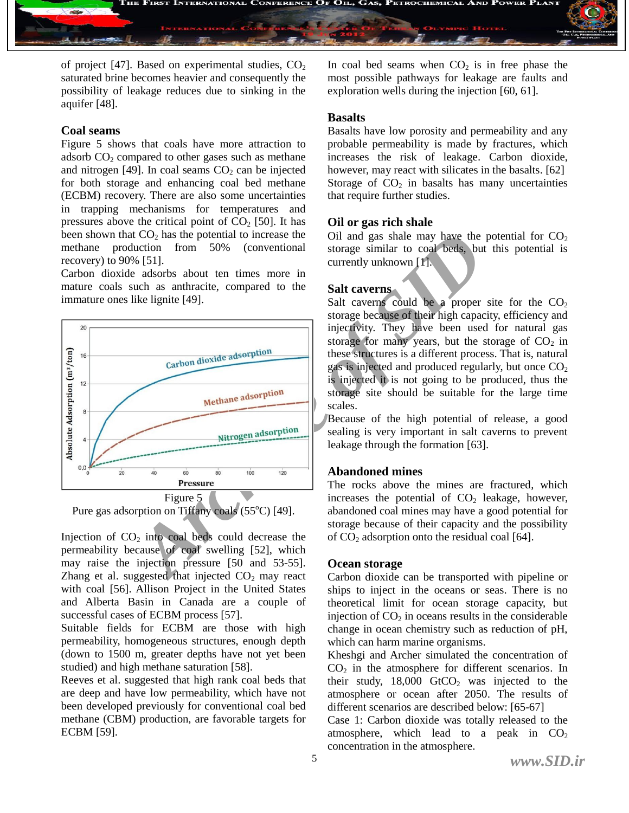

of project [47]. Based on experimental studies,  $CO<sub>2</sub>$ saturated brine becomes heavier and consequently the possibility of leakage reduces due to sinking in the aquifer [48].

#### **Coal seams**

Figure 5 shows that coals have more attraction to adsorb  $CO<sub>2</sub>$  compared to other gases such as methane and nitrogen [49]. In coal seams  $CO<sub>2</sub>$  can be injected for both storage and enhancing coal bed methane (ECBM) recovery. There are also some uncertainties in trapping mechanisms for temperatures and pressures above the critical point of  $CO<sub>2</sub>$  [50]. It has been shown that  $CO<sub>2</sub>$  has the potential to increase the methane production from 50% (conventional recovery) to 90% [51].

Carbon dioxide adsorbs about ten times more in mature coals such as anthracite, compared to the immature ones like lignite [49].



Pure gas adsorption on Tiffany coals  $(55^{\circ}C)$  [49].

Injection of  $CO<sub>2</sub>$  into coal beds could decrease the permeability because of coal swelling [52], which may raise the injection pressure [50 and 53-55]. Zhang et al. suggested that injected  $CO<sub>2</sub>$  may react with coal [56]. Allison Project in the United States and Alberta Basin in Canada are a couple of successful cases of ECBM process [57].

Suitable fields for ECBM are those with high permeability, homogeneous structures, enough depth (down to 1500 m, greater depths have not yet been studied) and high methane saturation [58].

Reeves et al. suggested that high rank coal beds that are deep and have low permeability, which have not been developed previously for conventional coal bed methane (CBM) production, are favorable targets for ECBM [59].

In coal bed seams when  $CO<sub>2</sub>$  is in free phase the most possible pathways for leakage are faults and exploration wells during the injection [60, 61].

#### **Basalts**

Basalts have low porosity and permeability and any probable permeability is made by fractures, which increases the risk of leakage. Carbon dioxide, however, may react with silicates in the basalts. [62] Storage of  $CO<sub>2</sub>$  in basalts has many uncertainties that require further studies.

#### **Oil or gas rich shale**

Oil and gas shale may have the potential for  $CO<sub>2</sub>$ storage similar to coal beds, but this potential is currently unknown [1].

#### **Salt caverns**

Salt caverns could be a proper site for the  $CO<sub>2</sub>$ storage because of their high capacity, efficiency and injectivity. They have been used for natural gas storage for many years, but the storage of  $CO<sub>2</sub>$  in these structures is a different process. That is, natural gas is injected and produced regularly, but once  $CO<sub>2</sub>$ is injected it is not going to be produced, thus the storage site should be suitable for the large time scales.

Because of the high potential of release, a good sealing is very important in salt caverns to prevent leakage through the formation [63].

#### **Abandoned mines**

The rocks above the mines are fractured, which increases the potential of  $CO<sub>2</sub>$  leakage, however, abandoned coal mines may have a good potential for storage because of their capacity and the possibility of  $CO<sub>2</sub>$  adsorption onto the residual coal [64].

#### **Ocean storage**

Carbon dioxide can be transported with pipeline or ships to inject in the oceans or seas. There is no theoretical limit for ocean storage capacity, but injection of  $CO<sub>2</sub>$  in oceans results in the considerable change in ocean chemistry such as reduction of pH, which can harm marine organisms.

Kheshgi and Archer simulated the concentration of  $CO<sub>2</sub>$  in the atmosphere for different scenarios. In their study,  $18,000$  GtCO<sub>2</sub> was injected to the atmosphere or ocean after 2050. The results of different scenarios are described below: [65-67]

Case 1: Carbon dioxide was totally released to the atmosphere, which lead to a peak in  $CO<sub>2</sub>$ concentration in the atmosphere.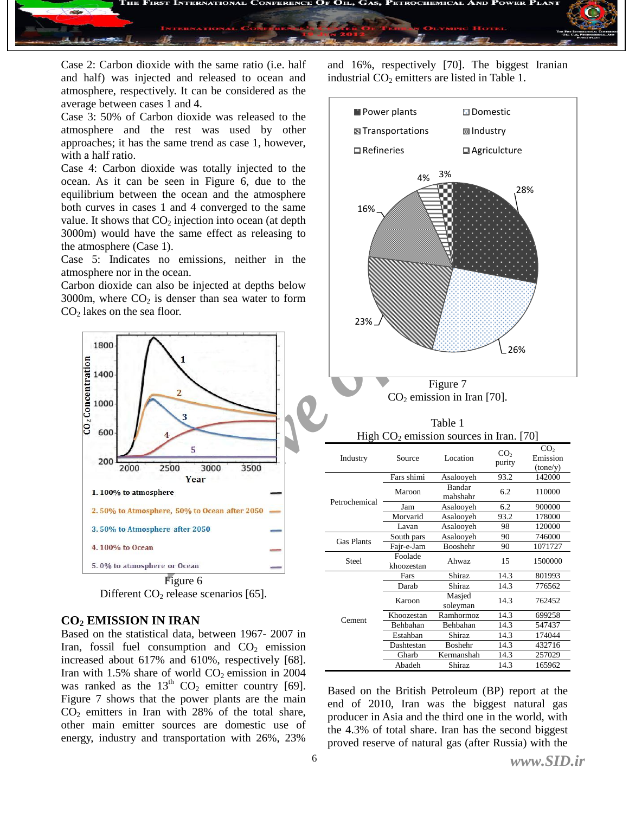

Case 2: Carbon dioxide with the same ratio (i.e. half and half) was injected and released to ocean and atmosphere, respectively. It can be considered as the average between cases 1 and 4.

Case 3: 50% of Carbon dioxide was released to the atmosphere and the rest was used by other approaches; it has the same trend as case 1, however, with a half ratio.

Case 4: Carbon dioxide was totally injected to the ocean. As it can be seen in Figure 6, due to the equilibrium between the ocean and the atmosphere both curves in cases 1 and 4 converged to the same value. It shows that  $CO<sub>2</sub>$  injection into ocean (at depth 3000m) would have the same effect as releasing to the atmosphere (Case 1).

Case 5: Indicates no emissions, neither in the atmosphere nor in the ocean.

Carbon dioxide can also be injected at depths below 3000m, where  $CO<sub>2</sub>$  is denser than sea water to form  $CO<sub>2</sub>$  lakes on the sea floor.



Different  $CO<sub>2</sub>$  release scenarios [65].

#### **CO<sup>2</sup> EMISSION IN IRAN**

Based on the statistical data, between 1967- 2007 in Iran, fossil fuel consumption and  $CO<sub>2</sub>$  emission increased about 617% and 610%, respectively [68]. Iran with  $1.5\%$  share of world  $CO<sub>2</sub>$  emission in 2004 was ranked as the  $13<sup>th</sup> CO<sub>2</sub>$  emitter country [69]. Figure 7 shows that the power plants are the main  $CO<sub>2</sub>$  emitters in Iran with 28% of the total share, other main emitter sources are domestic use of energy, industry and transportation with 26%, 23%

and 16%, respectively [70]. The biggest Iranian industrial  $CO<sub>2</sub>$  emitters are listed in Table 1.



Based on the British Petroleum (BP) report at the end of 2010, Iran was the biggest natural gas producer in Asia and the third one in the world, with the 4.3% of total share. Iran has the second biggest proved reserve of natural gas (after Russia) with the

Abadeh Shiraz 14.3 165962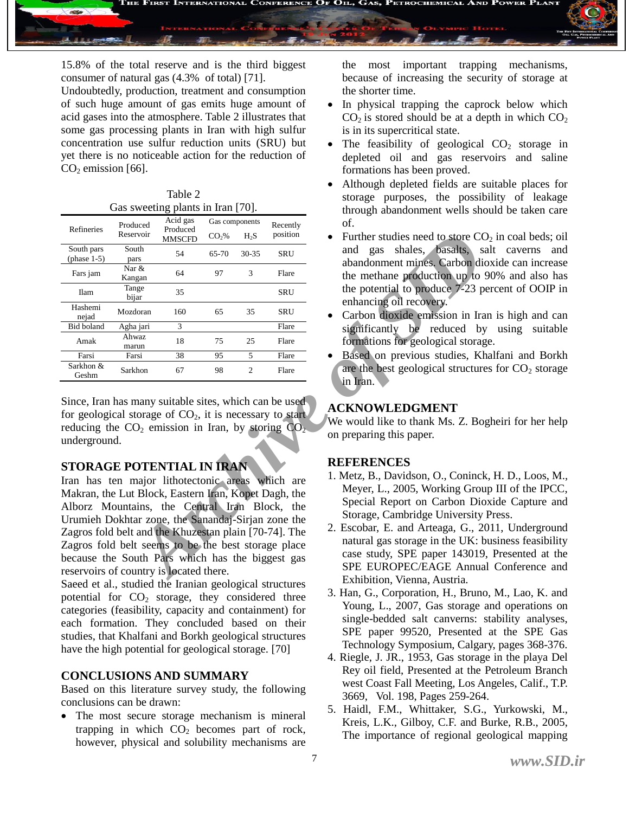

15.8% of the total reserve and is the third biggest consumer of natural gas (4.3% of total) [71].

Undoubtedly, production, treatment and consumption of such huge amount of gas emits huge amount of acid gases into the atmosphere. Table 2 illustrates that some gas processing plants in Iran with high sulfur concentration use sulfur reduction units (SRU) but yet there is no noticeable action for the reduction of  $CO<sub>2</sub>$  emission [66].

| Table 2                           |  |
|-----------------------------------|--|
| Gas sweeting plants in Iran [70]. |  |

|                                                                                                                                                                                                                                                                                                                                                              |                       | Acid gas                  | Gas components    |                |                      |                                                                                                                                                                                                                                    |
|--------------------------------------------------------------------------------------------------------------------------------------------------------------------------------------------------------------------------------------------------------------------------------------------------------------------------------------------------------------|-----------------------|---------------------------|-------------------|----------------|----------------------|------------------------------------------------------------------------------------------------------------------------------------------------------------------------------------------------------------------------------------|
| Refineries                                                                                                                                                                                                                                                                                                                                                   | Produced<br>Reservoir | Produced<br><b>MMSCFD</b> | CO <sub>2</sub> % | $H_2S$         | Recently<br>position | of.<br>Further studies need to store CO<br>$\bullet$                                                                                                                                                                               |
| South pars<br>(phase $1-5$ )                                                                                                                                                                                                                                                                                                                                 | South<br>pars         | 54                        | $65 - 70$         | $30 - 35$      | <b>SRU</b>           | shales, basalts, s<br>and gas<br>abandonment mines. Carbon di                                                                                                                                                                      |
| Fars jam                                                                                                                                                                                                                                                                                                                                                     | Nar &<br>Kangan       | 64                        | 97                | 3              | Flare                | the methane production up to                                                                                                                                                                                                       |
| <b>Ilam</b>                                                                                                                                                                                                                                                                                                                                                  | Tange<br>bijar        | 35                        |                   |                | <b>SRU</b>           | the potential to produce 7-23 p<br>enhancing oil recovery.                                                                                                                                                                         |
| Hashemi<br>nejad                                                                                                                                                                                                                                                                                                                                             | Mozdoran              | 160                       | 65                | 35             | <b>SRU</b>           | Carbon dioxide emission in Ira                                                                                                                                                                                                     |
| <b>Bid boland</b>                                                                                                                                                                                                                                                                                                                                            | Agha jari             | 3                         |                   |                | Flare                | significantly be reduced by                                                                                                                                                                                                        |
| Amak                                                                                                                                                                                                                                                                                                                                                         | Ahwaz<br>marun        | 18                        | 75                | 25             | Flare                | formations for geological storage                                                                                                                                                                                                  |
| Farsi                                                                                                                                                                                                                                                                                                                                                        | Farsi                 | 38                        | 95                | 5              | Flare                | Based on previous studies, Kl<br>$\bullet$                                                                                                                                                                                         |
| Sarkhon &<br>Geshm                                                                                                                                                                                                                                                                                                                                           | Sarkhon               | 67                        | 98                | $\overline{2}$ | Flare                | are the best geological structure<br>in Iran.                                                                                                                                                                                      |
| Since, Iran has many suitable sites, which can be used<br>for geological storage of $CO2$ , it is necessary to start<br>reducing the $CO_2$ emission in Iran, by storing $CO_2$<br>underground.                                                                                                                                                              |                       |                           |                   |                |                      | <b>ACKNOWLEDGMENT</b><br>We would like to thank Ms. Z. Bo<br>on preparing this paper.                                                                                                                                              |
| STORAGE POTENTIAL IN IRAN<br>Iran has ten major lithotectonic areas which are<br>Makran, the Lut Block, Eastern Iran, Kopet Dagh, the<br>Alborz Mountains, the Central Iran Block, the<br>Urumieh Dokhtar zone, the Sanandaj-Sirjan zone the<br>Zagros fold belt and the Khuzestan plain [70-74]. The<br>Zagros fold belt seems to be the best storage place |                       |                           |                   |                |                      | <b>REFERENCES</b><br>1. Metz, B., Davidson, O., Conincl<br>Meyer, L., 2005, Working Grou<br>Special Report on Carbon Dio<br>Storage, Cambridge University<br>2. Escobar, E. and Arteaga, G., 2<br>natural gas storage in the UK: b |
| because the South Pars which has the biggest gas<br>reservoirs of country is located there.                                                                                                                                                                                                                                                                  |                       |                           |                   |                |                      | case study, SPE paper 143019<br>SPE EUROPEC/EAGE Annua<br>Exhibition Vienna Austria                                                                                                                                                |

#### **STORAGE POTENTIAL IN IRAN**

Saeed et al., studied the Iranian geological structures potential for  $CO<sub>2</sub>$  storage, they considered three categories (feasibility, capacity and containment) for each formation. They concluded based on their studies, that Khalfani and Borkh geological structures have the high potential for geological storage. [70]

#### **CONCLUSIONS AND SUMMARY**

Based on this literature survey study, the following conclusions can be drawn:

 The most secure storage mechanism is mineral trapping in which  $CO<sub>2</sub>$  becomes part of rock, however, physical and solubility mechanisms are

the most important trapping mechanisms, because of increasing the security of storage at the shorter time.

- In physical trapping the caprock below which  $CO<sub>2</sub>$  is stored should be at a depth in which  $CO<sub>2</sub>$ is in its supercritical state.
- The feasibility of geological  $CO<sub>2</sub>$  storage in depleted oil and gas reservoirs and saline formations has been proved.
- Although depleted fields are suitable places for storage purposes, the possibility of leakage through abandonment wells should be taken care of.
- Further studies need to store  $CO<sub>2</sub>$  in coal beds; oil and gas shales, basalts, salt caverns and abandonment mines. Carbon dioxide can increase the methane production up to 90% and also has the potential to produce 7-23 percent of OOIP in enhancing oil recovery.
- Carbon dioxide emission in Iran is high and can significantly be reduced by using suitable formations for geological storage.
- Based on previous studies, Khalfani and Borkh are the best geological structures for  $CO<sub>2</sub>$  storage in Iran.

#### **ACKNOWLEDGMENT**

We would like to thank Ms. Z. Bogheiri for her help on preparing this paper.

#### **REFERENCES**

- 1. Metz, B., Davidson, O., Coninck, H. D., Loos, M., Meyer, L., 2005, Working Group III of the IPCC, Special Report on Carbon Dioxide Capture and Storage, Cambridge University Press.
- 2. Escobar, E. and Arteaga, G., 2011, Underground natural gas storage in the UK: business feasibility case study, SPE paper 143019, Presented at the SPE EUROPEC/EAGE Annual Conference and Exhibition, Vienna, Austria.
- 3. Han, G., Corporation, H., Bruno, M., Lao, K. and Young, L., 2007, Gas storage and operations on single-bedded salt canverns: stability analyses, SPE paper 99520, Presented at the SPE Gas Technology Symposium, Calgary, pages 368-376.
- 4. Riegle, J. JR., 1953, Gas storage in the playa Del Rey oil field, Presented at the Petroleum Branch west Coast Fall Meeting, Los Angeles, Calif., T.P. 3669, Vol. 198, Pages 259-264.
- 5. Haidl, F.M., Whittaker, S.G., Yurkowski, M., Kreis, L.K., Gilboy, C.F. and Burke, R.B., 2005, The importance of regional geological mapping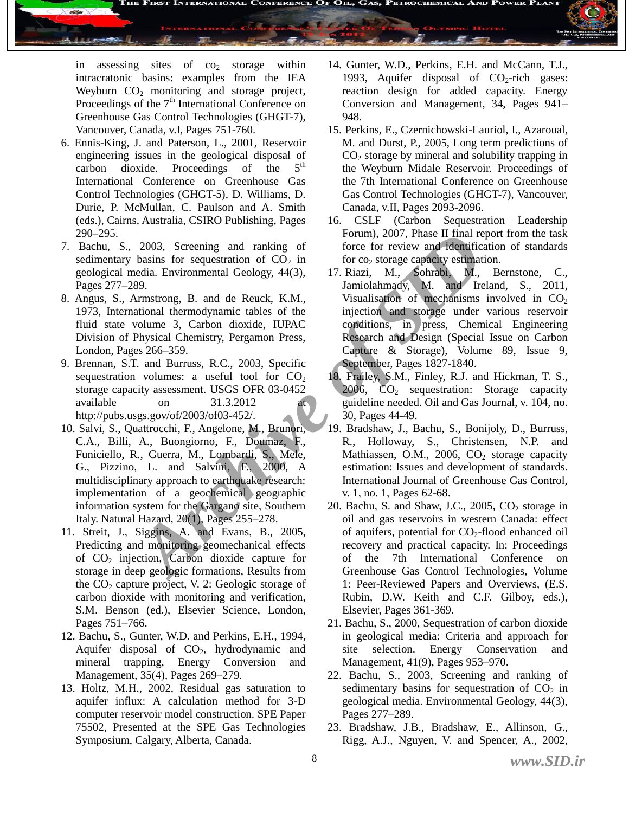

in assessing sites of  $\cos$  storage within intracratonic basins: examples from the IEA Weyburn  $CO<sub>2</sub>$  monitoring and storage project, Proceedings of the  $7<sup>th</sup>$  International Conference on Greenhouse Gas Control Technologies (GHGT-7), Vancouver, Canada, v.I, Pages 751-760.

- 6. Ennis-King, J. and Paterson, L., 2001, Reservoir engineering issues in the geological disposal of<br>carbon dioxide. Proceedings of the 5<sup>th</sup> carbon dioxide. Proceedings of the International Conference on Greenhouse Gas Control Technologies (GHGT-5), D. Williams, D. Durie, P. McMullan, C. Paulson and A. Smith (eds.), Cairns, Australia, CSIRO Publishing, Pages 290–295.
- 7. Bachu, S., 2003, Screening and ranking of sedimentary basins for sequestration of  $CO<sub>2</sub>$  in geological media. Environmental Geology, 44(3), Pages 277–289.
- 8. Angus, S., Armstrong, B. and de Reuck, K.M., 1973, International thermodynamic tables of the fluid state volume 3, Carbon dioxide, IUPAC Division of Physical Chemistry, Pergamon Press, London, Pages 266–359.
- 9. Brennan, S.T. and Burruss, R.C., 2003, Specific sequestration volumes: a useful tool for  $CO<sub>2</sub>$ storage capacity assessment. USGS OFR 03-0452 available on 31.3.2012 at [http://pubs.usgs.gov/of/2003/of03-452/.](http://pubs.usgs.gov/of/2003/of03-452/)
- 2003, Screening and ranking of forms, 2007, Phase II that re<br>
basins for sequestration of CO<sub>2</sub> in for co<sub>2</sub> storage capacity estimate<br>
redia. Environmental Geology, 44(3), 17. Riazi, M., Sohrabi, M., 2008, Phension<br>
Armst 10. Salvi, S., Quattrocchi, F., Angelone, M., Brunori, C.A., Billi, A., Buongiorno, F., Doumaz, F., Funiciello, R., Guerra, M., Lombardi, S., Mele, G., Pizzino, L. and Salvini, F., 2000, A multidisciplinary approach to earthquake research: implementation of a geochemical geographic information system for the Gargano site, Southern Italy. Natural Hazard, 20(1), Pages 255–278.
- 11. Streit, J., Siggins, A. and Evans, B., 2005, Predicting and monitoring geomechanical effects of CO<sup>2</sup> injection, Carbon dioxide capture for storage in deep geologic formations, Results from the  $CO<sub>2</sub>$  capture project, V. 2: Geologic storage of carbon dioxide with monitoring and verification, S.M. Benson (ed.), Elsevier Science, London, Pages 751–766.
- 12. Bachu, S., Gunter, W.D. and Perkins, E.H., 1994, Aquifer disposal of  $CO<sub>2</sub>$ , hydrodynamic and mineral trapping, Energy Conversion and Management, 35(4), Pages 269–279.
- 13. Holtz, M.H., 2002, Residual gas saturation to aquifer influx: A calculation method for 3-D computer reservoir model construction. SPE Paper 75502, Presented at the SPE Gas Technologies Symposium, Calgary, Alberta, Canada.
- 14. Gunter, W.D., Perkins, E.H. and McCann, T.J., 1993, Aquifer disposal of  $CO<sub>2</sub>$ -rich gases: reaction design for added capacity. Energy Conversion and Management, 34, Pages 941– 948.
- 15. Perkins, E., Czernichowski-Lauriol, I., Azaroual, M. and Durst, P., 2005, Long term predictions of  $CO<sub>2</sub>$  storage by mineral and solubility trapping in the Weyburn Midale Reservoir. Proceedings of the 7th International Conference on Greenhouse Gas Control Technologies (GHGT-7), Vancouver, Canada, v.II, Pages 2093-2096.
- 16. CSLF (Carbon Sequestration Leadership Forum), 2007, Phase II final report from the task force for review and identification of standards for  $\cos$  storage capacity estimation.
- 17. Riazi, M., Sohrabi, M., Bernstone, C., Jamiolahmady, M. and Ireland, S., 2011, Visualisation of mechanisms involved in  $CO<sub>2</sub>$ injection and storage under various reservoir conditions, in press, Chemical Engineering Research and Design (Special Issue on Carbon Capture & Storage), Volume 89, Issue 9, September, Pages 1827-1840.
- 18. Frailey, S.M., Finley, R.J. and Hickman, T. S.,  $2006, \quad CO_2$  sequestration: Storage capacity guideline needed. Oil and Gas Journal, v. 104, no. 30, Pages 44-49.
- 19. Bradshaw, J., Bachu, S., Bonijoly, D., Burruss, R., Holloway, S., Christensen, N.P. and Mathiassen, O.M., 2006,  $CO<sub>2</sub>$  storage capacity estimation: Issues and development of standards. International Journal of Greenhouse Gas Control, v. 1, no. 1, Pages 62-68.
- 20. Bachu, S. and Shaw, J.C., 2005,  $CO<sub>2</sub>$  storage in oil and gas reservoirs in western Canada: effect of aquifers, potential for  $CO<sub>2</sub>$ -flood enhanced oil recovery and practical capacity. In: Proceedings of the 7th International Conference on Greenhouse Gas Control Technologies, Volume 1: Peer-Reviewed Papers and Overviews, (E.S. Rubin, D.W. Keith and C.F. Gilboy, eds.), Elsevier, Pages 361-369.
- 21. Bachu, S., 2000, Sequestration of carbon dioxide in geological media: Criteria and approach for site selection. Energy Conservation and Management, 41(9), Pages 953–970.
- 22. Bachu, S., 2003, Screening and ranking of sedimentary basins for sequestration of  $CO<sub>2</sub>$  in geological media. Environmental Geology, 44(3), Pages 277–289.
- 23. Bradshaw, J.B., Bradshaw, E., Allinson, G., Rigg, A.J., Nguyen, V. and Spencer, A., 2002,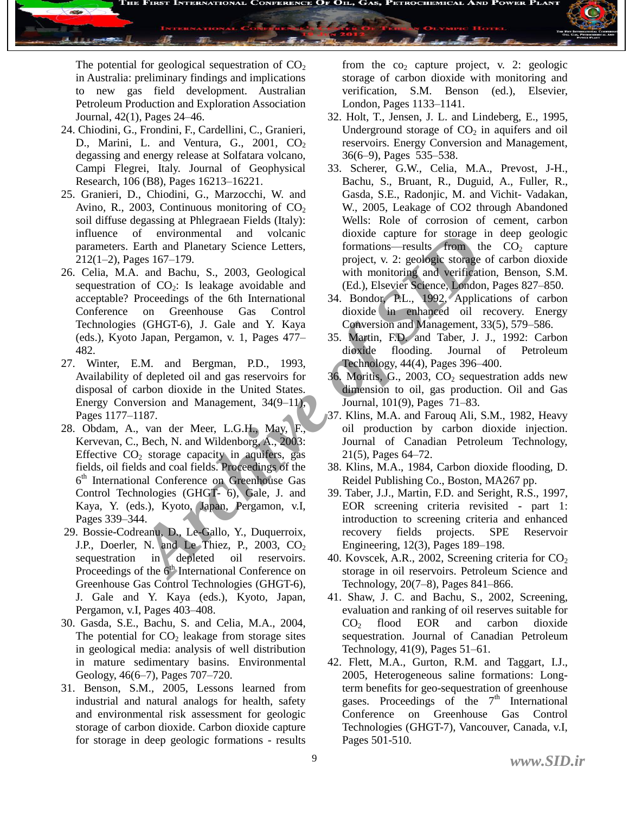

The potential for geological sequestration of  $CO<sub>2</sub>$ in Australia: preliminary findings and implications to new gas field development. Australian Petroleum Production and Exploration Association Journal, 42(1), Pages 24–46.

- 24. Chiodini, G., Frondini, F., Cardellini, C., Granieri, D., Marini, L. and Ventura, G., 2001,  $CO<sub>2</sub>$ degassing and energy release at Solfatara volcano, Campi Flegrei, Italy. Journal of Geophysical Research, 106 (B8), Pages 16213–16221.
- 25. Granieri, D., Chiodini, G., Marzocchi, W. and Avino, R., 2003, Continuous monitoring of  $CO<sub>2</sub>$ soil diffuse degassing at Phlegraean Fields (Italy): influence of environmental and volcanic parameters. Earth and Planetary Science Letters, 212(1–2), Pages 167–179.
- 26. Celia, M.A. and Bachu, S., 2003, Geological sequestration of  $CO<sub>2</sub>$ : Is leakage avoidable and acceptable? Proceedings of the 6th International Conference on Greenhouse Gas Control Technologies (GHGT-6), J. Gale and Y. Kaya (eds.), Kyoto Japan, Pergamon, v. 1, Pages 477– 482.
- 27. Winter, E.M. and Bergman, P.D., 1993, Availability of depleted oil and gas reservoirs for disposal of carbon dioxide in the United States. Energy Conversion and Management, 34(9–11), Pages 1177–1187.
- of environmental and volcanne to storage control<br>Earth and Planetary Science Letters, formations—results from<br>Eges 167–179. project, v. 2: geologic storage<br>1985 167–179. project, v. 2: geologic storage contrade<br>Proceedings 28. Obdam, A., van der Meer, L.G.H., May, F., Kervevan, C., Bech, N. and Wildenborg, A., 2003: Effective  $CO<sub>2</sub>$  storage capacity in aquifers, gas fields, oil fields and coal fields. Proceedings of the 6 th International Conference on Greenhouse Gas Control Technologies (GHGT- 6), Gale, J. and Kaya, Y. (eds.), Kyoto, Japan, Pergamon, v.I, Pages 339–344.
- 29. Bossie-Codreanu, D., Le-Gallo, Y., Duquerroix, J.P., Doerler, N. and Le Thiez, P., 2003,  $CO<sub>2</sub>$ sequestration in depleted oil reservoirs. Proceedings of the  $6<sup>th</sup>$  International Conference on Greenhouse Gas Control Technologies (GHGT-6), J. Gale and Y. Kaya (eds.), Kyoto, Japan, Pergamon, v.I, Pages 403–408.
- 30. Gasda, S.E., Bachu, S. and Celia, M.A., 2004, The potential for  $CO<sub>2</sub>$  leakage from storage sites in geological media: analysis of well distribution in mature sedimentary basins. Environmental Geology, 46(6–7), Pages 707–720.
- 31. Benson, S.M., 2005, Lessons learned from industrial and natural analogs for health, safety and environmental risk assessment for geologic storage of carbon dioxide. Carbon dioxide capture for storage in deep geologic formations - results

from the  $co<sub>2</sub>$  capture project, v. 2: geologic storage of carbon dioxide with monitoring and verification, S.M. Benson (ed.), Elsevier, London, Pages 1133–1141.

- 32. Holt, T., Jensen, J. L. and Lindeberg, E., 1995, Underground storage of  $CO<sub>2</sub>$  in aquifers and oil reservoirs. Energy Conversion and Management, 36(6–9), Pages 535–538.
- 33. Scherer, G.W., Celia, M.A., Prevost, J-H., Bachu, S., Bruant, R., Duguid, A., Fuller, R., Gasda, S.E., Radonjic, M. and Vichit- Vadakan, W., 2005, Leakage of CO2 through Abandoned Wells: Role of corrosion of cement, carbon dioxide capture for storage in deep geologic formations—results from the  $CO<sub>2</sub>$  capture project, v. 2: geologic storage of carbon dioxide with monitoring and verification, Benson, S.M. (Ed.), Elsevier Science, London, Pages 827–850.
- 34. Bondor, P.L., 1992, Applications of carbon dioxide in enhanced oil recovery. Energy Conversion and Management, 33(5), 579–586.
- 35. Martin, F.D. and Taber, J. J., 1992: Carbon dioxide flooding. Journal of Petroleum Technology, 44(4), Pages 396–400.
- 36. Moritis, G., 2003,  $CO<sub>2</sub>$  sequestration adds new dimension to oil, gas production. Oil and Gas Journal, 101(9), Pages 71–83.
- 37. Klins, M.A. and Farouq Ali, S.M., 1982, Heavy oil production by carbon dioxide injection. Journal of Canadian Petroleum Technology, 21(5), Pages 64–72.
- 38. Klins, M.A., 1984, Carbon dioxide flooding, D. Reidel Publishing Co., Boston, MA267 pp.
- 39. Taber, J.J., Martin, F.D. and Seright, R.S., 1997, EOR screening criteria revisited - part 1: introduction to screening criteria and enhanced recovery fields projects. SPE Reservoir Engineering, 12(3), Pages 189–198.
- 40. Kovscek, A.R., 2002, Screening criteria for  $CO<sub>2</sub>$ storage in oil reservoirs. Petroleum Science and Technology, 20(7–8), Pages 841–866.
- 41. Shaw, J. C. and Bachu, S., 2002, Screening, evaluation and ranking of oil reserves suitable for  $CO<sub>2</sub>$  flood EOR and carbon dioxide sequestration. Journal of Canadian Petroleum Technology, 41(9), Pages 51–61.
- 42. Flett, M.A., Gurton, R.M. and Taggart, I.J., 2005, Heterogeneous saline formations: Longterm benefits for geo-sequestration of greenhouse gases. Proceedings of the  $7<sup>th</sup>$  International Conference on Greenhouse Gas Control Technologies (GHGT-7), Vancouver, Canada, v.I, Pages 501-510.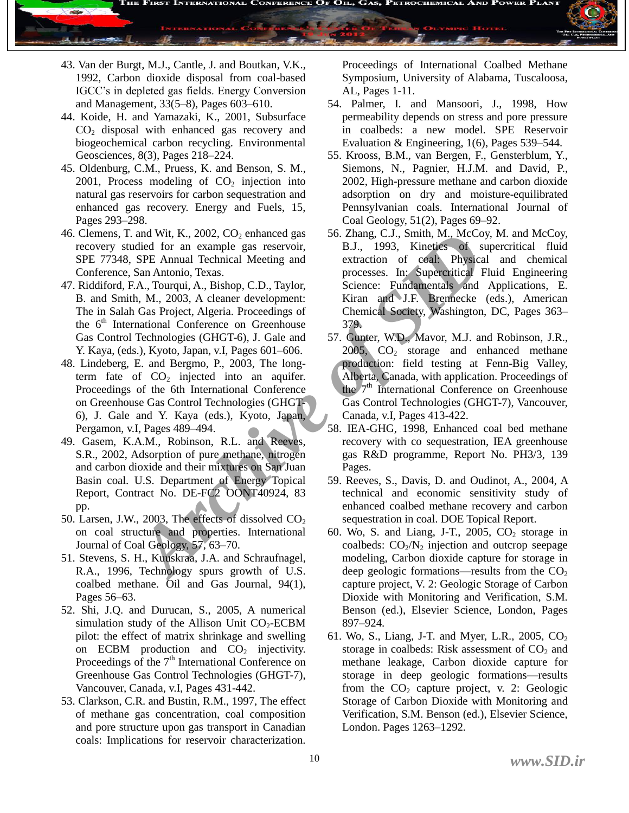

- 43. Van der Burgt, M.J., Cantle, J. and Boutkan, V.K., 1992, Carbon dioxide disposal from coal-based IGCC's in depleted gas fields. Energy Conversion and Management, 33(5–8), Pages 603–610.
- 44. Koide, H. and Yamazaki, K., 2001, Subsurface  $CO<sub>2</sub>$  disposal with enhanced gas recovery and biogeochemical carbon recycling. Environmental Geosciences, 8(3), Pages 218–224.
- 45. Oldenburg, C.M., Pruess, K. and Benson, S. M.,  $2001$ , Process modeling of  $CO<sub>2</sub>$  injection into natural gas reservoirs for carbon sequestration and enhanced gas recovery. Energy and Fuels, 15, Pages 293–298.
- 46. Clemens, T. and Wit, K., 2002,  $CO<sub>2</sub>$  enhanced gas recovery studied for an example gas reservoir, SPE 77348, SPE Annual Technical Meeting and Conference, San Antonio, Texas.
- 47. Riddiford, F.A., Tourqui, A., Bishop, C.D., Taylor, B. and Smith, M., 2003, A cleaner development: The in Salah Gas Project, Algeria. Proceedings of the  $6<sup>th</sup>$  International Conference on Greenhouse Gas Control Technologies (GHGT-6), J. Gale and Y. Kaya, (eds.), Kyoto, Japan, v.I, Pages 601–606.
- 48. Lindeberg, E. and Bergmo, P., 2003, The longterm fate of  $CO<sub>2</sub>$  injected into an aquifer. Proceedings of the 6th International Conference on Greenhouse Gas Control Technologies (GHGT-6), J. Gale and Y. Kaya (eds.), Kyoto, Japan, Pergamon, v.I, Pages 489–494.
- 49. Gasem, K.A.M., Robinson, R.L. and Reeves, S.R., 2002, Adsorption of pure methane, nitrogen and carbon dioxide and their mixtures on San Juan Basin coal. U.S. Department of Energy Topical Report, Contract No. DE-FC2 OONT40924, 83 pp.
- 50. Larsen, J.W., 2003, The effects of dissolved  $CO<sub>2</sub>$ on coal structure and properties. International Journal of Coal Geology, 57, 63–70.
- 51. Stevens, S. H., Kuuskraa, J.A. and Schraufnagel, R.A., 1996, Technology spurs growth of U.S. coalbed methane. Oil and Gas Journal, 94(1), Pages 56–63.
- 52. Shi, J.Q. and Durucan, S., 2005, A numerical simulation study of the Allison Unit  $CO<sub>2</sub>-ECBM$ pilot: the effect of matrix shrinkage and swelling on ECBM production and  $CO<sub>2</sub>$  injectivity. Proceedings of the  $7<sup>th</sup>$  International Conference on Greenhouse Gas Control Technologies (GHGT-7), Vancouver, Canada, v.I, Pages 431-442.
- 53. Clarkson, C.R. and Bustin, R.M., 1997, The effect of methane gas concentration, coal composition and pore structure upon gas transport in Canadian coals: Implications for reservoir characterization.

Proceedings of International Coalbed Methane Symposium, University of Alabama, Tuscaloosa, AL, Pages 1-11.

- 54. Palmer, I. and Mansoori, J., 1998, How permeability depends on stress and pore pressure in coalbeds: a new model. SPE Reservoir Evaluation & Engineering, 1(6), Pages 539–544.
- 55. Krooss, B.M., van Bergen, F., Gensterblum, Y., Siemons, N., Pagnier, H.J.M. and David, P., 2002, High-pressure methane and carbon dioxide adsorption on dry and moisture-equilibrated Pennsylvanian coals. International Journal of Coal Geology, 51(2), Pages 69–92.
- and W.H, R., 2002, CD, enhanced gas<br>
dided for an example gas reservor,<br>
SPE Annual Technical Meeting and<br>
SRE Annual Technical Meeting and<br>
SRE Annual Technical Meeting and<br>
Example example and extraction of ootals Physic 56. Zhang, C.J., Smith, M., McCoy, M. and McCoy, B.J., 1993, Kinetics of supercritical fluid extraction of coal: Physical and chemical processes. In: Supercritical Fluid Engineering Science: Fundamentals and Applications, E. Kiran and J.F. Brennecke (eds.), American Chemical Society, Washington, DC, Pages 363– 379.
	- 57. Gunter, W.D., Mavor, M.J. and Robinson, J.R., 2005,  $CO<sub>2</sub>$  storage and enhanced methane production: field testing at Fenn-Big Valley, Alberta, Canada, with application. Proceedings of the 7<sup>th</sup> International Conference on Greenhouse Gas Control Technologies (GHGT-7), Vancouver, Canada, v.I, Pages 413-422.
	- 58. IEA-GHG, 1998, Enhanced coal bed methane recovery with co sequestration, IEA greenhouse gas R&D programme, Report No. PH3/3, 139 Pages.
	- 59. Reeves, S., Davis, D. and Oudinot, A., 2004, A technical and economic sensitivity study of enhanced coalbed methane recovery and carbon sequestration in coal. DOE Topical Report.
	- 60. Wo, S. and Liang, J-T., 2005,  $CO<sub>2</sub>$  storage in coalbeds:  $CO<sub>2</sub>/N<sub>2</sub>$  injection and outcrop seepage modeling, Carbon dioxide capture for storage in deep geologic formations—results from the  $CO<sub>2</sub>$ capture project, V. 2: Geologic Storage of Carbon Dioxide with Monitoring and Verification, S.M. Benson (ed.), Elsevier Science, London, Pages 897–924.
	- 61. Wo, S., Liang, J-T. and Myer, L.R., 2005,  $CO<sub>2</sub>$ storage in coalbeds: Risk assessment of  $CO<sub>2</sub>$  and methane leakage, Carbon dioxide capture for storage in deep geologic formations—results from the  $CO<sub>2</sub>$  capture project, v. 2: Geologic Storage of Carbon Dioxide with Monitoring and Verification, S.M. Benson (ed.), Elsevier Science, London. Pages 1263–1292.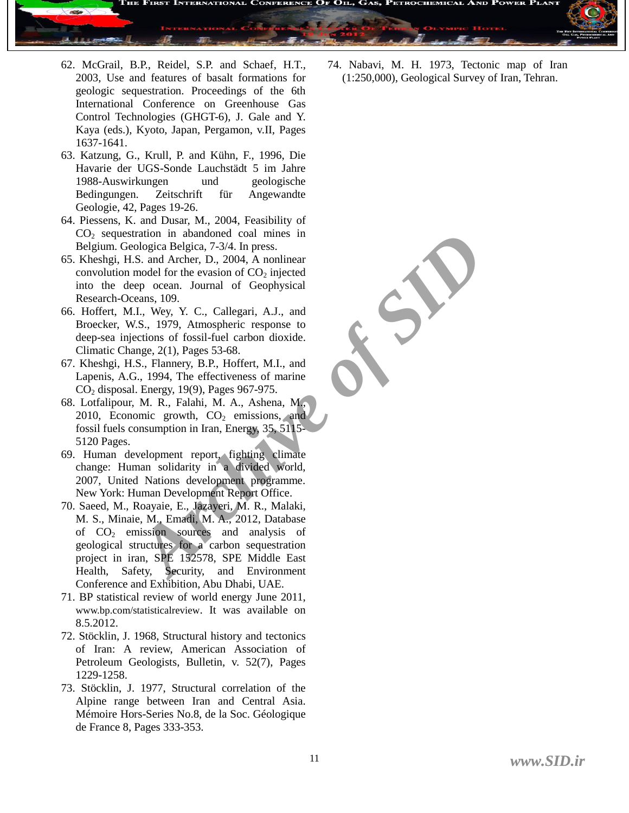

- 62. McGrail, B.P., Reidel, S.P. and Schaef, H.T., 2003, Use and features of basalt formations for geologic sequestration. Proceedings of the 6th International Conference on Greenhouse Gas Control Technologies (GHGT-6), J. Gale and Y. Kaya (eds.), Kyoto, Japan, Pergamon, v.II, Pages 1637-1641.
- 63. Katzung, G., Krull, P. and Kühn, F., 1996, Die Havarie der UGS-Sonde Lauchstädt 5 im Jahre 1988-Auswirkungen und geologische Bedingungen. Zeitschrift für Angewandte Geologie, 42, Pages 19-26.
- 64. Piessens, K. and Dusar, M., 2004, Feasibility of  $CO<sub>2</sub>$  sequestration in abandoned coal mines in Belgium. Geologica Belgica, 7-3/4. In press.
- 65. Kheshgi, H.S. and Archer, D., 2004, A nonlinear convolution model for the evasion of  $CO<sub>2</sub>$  injected into the deep ocean. Journal of Geophysical Research-Oceans, 109.
- 66. Hoffert, M.I., Wey, Y. C., Callegari, A.J., and Broecker, W.S., 1979, Atmospheric response to deep-sea injections of fossil-fuel carbon dioxide. Climatic Change, 2(1), Pages 53-68.
- 67. Kheshgi, H.S., Flannery, B.P., Hoffert, M.I., and Lapenis, A.G., 1994, The effectiveness of marine CO<sup>2</sup> disposal. Energy, 19(9), Pages 967-975.
- 68. Lotfalipour, M. R., Falahi, M. A., Ashena, M., 2010, Economic growth,  $CO<sub>2</sub>$  emissions, and fossil fuels consumption in Iran, Energy, 35, 5115- 5120 Pages.
- 69. Human development report, fighting climate change: Human solidarity in a divided world, 2007, United Nations development programme. New York: Human Development Report Office.
- 70. Saeed, M., Roayaie, E., Jazayeri, M. R., Malaki, M. S., Minaie, M., Emadi, M. A., 2012, Database of  $CO<sub>2</sub>$  emission sources and analysis of geological structures for a carbon sequestration project in iran, SPE 152578, SPE Middle East Health, Safety, Security, and Environment Conference and Exhibition, Abu Dhabi, UAE.
- 71. BP statistical review of world energy June 2011, www.bp.com/statisticalreview. It was available on 8.5.2012.
- 72. Stöcklin, J. 1968, Structural history and tectonics of Iran: A review, American Association of Petroleum Geologists, Bulletin, v. 52(7), Pages 1229-1258.
- 73. Stöcklin, J. 1977, Structural correlation of the Alpine range between Iran and Central Asia. Mémoire Hors-Series No.8, de la Soc. Géologique de France 8, Pages 333-353.

74. Nabavi, M. H. 1973, Tectonic map of Iran (1:250,000), Geological Survey of Iran, Tehran.

rtation in abandoned coal mines in<br>
ologica Belgica, 7-3/4. In press.<br> *A.* S. and Archer, D., 2004, A nonlinear<br>
model for the evasion of CO<sub>2</sub> injected<br>
enemoces and Journal of Geophysical<br>
enemoces and Journal of Geophy